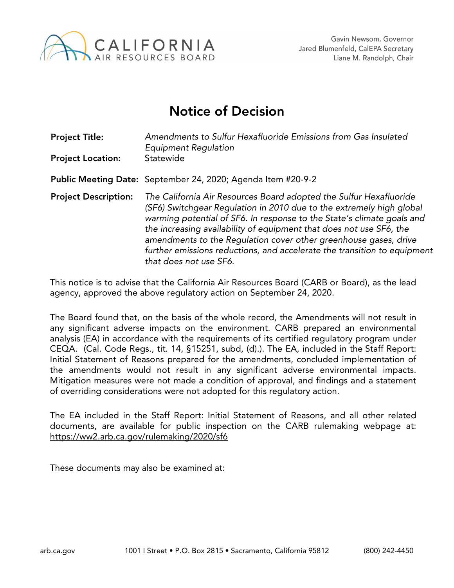

## Notice of Decision

| <b>Project Title:</b><br><b>Project Location:</b> | Amendments to Sulfur Hexafluoride Emissions from Gas Insulated<br>Equipment Regulation<br>Statewide                                                                                                                                                                                                                                                                                                                                                                   |
|---------------------------------------------------|-----------------------------------------------------------------------------------------------------------------------------------------------------------------------------------------------------------------------------------------------------------------------------------------------------------------------------------------------------------------------------------------------------------------------------------------------------------------------|
|                                                   |                                                                                                                                                                                                                                                                                                                                                                                                                                                                       |
|                                                   | Public Meeting Date: September 24, 2020; Agenda Item #20-9-2                                                                                                                                                                                                                                                                                                                                                                                                          |
| <b>Project Description:</b>                       | The California Air Resources Board adopted the Sulfur Hexafluoride<br>(SF6) Switchgear Regulation in 2010 due to the extremely high global<br>warming potential of SF6. In response to the State's climate goals and<br>the increasing availability of equipment that does not use SF6, the<br>amendments to the Regulation cover other greenhouse gases, drive<br>further emissions reductions, and accelerate the transition to equipment<br>that does not use SF6. |

This notice is to advise that the California Air Resources Board (CARB or Board), as the lead agency, approved the above regulatory action on September 24, 2020.

The Board found that, on the basis of the whole record, the Amendments will not result in any significant adverse impacts on the environment. CARB prepared an environmental analysis (EA) in accordance with the requirements of its certified regulatory program under CEQA. (Cal. Code Regs., tit. 14, §15251, subd, (d).). The EA, included in the Staff Report: Initial Statement of Reasons prepared for the amendments, concluded implementation of the amendments would not result in any significant adverse environmental impacts. Mitigation measures were not made a condition of approval, and findings and a statement of overriding considerations were not adopted for this regulatory action.

The EA included in the Staff Report: Initial Statement of Reasons, and all other related documents, are available for public inspection on the CARB rulemaking webpage at: https://ww2.arb.ca.gov/rulemaking/2020/sf6

These documents may also be examined at: